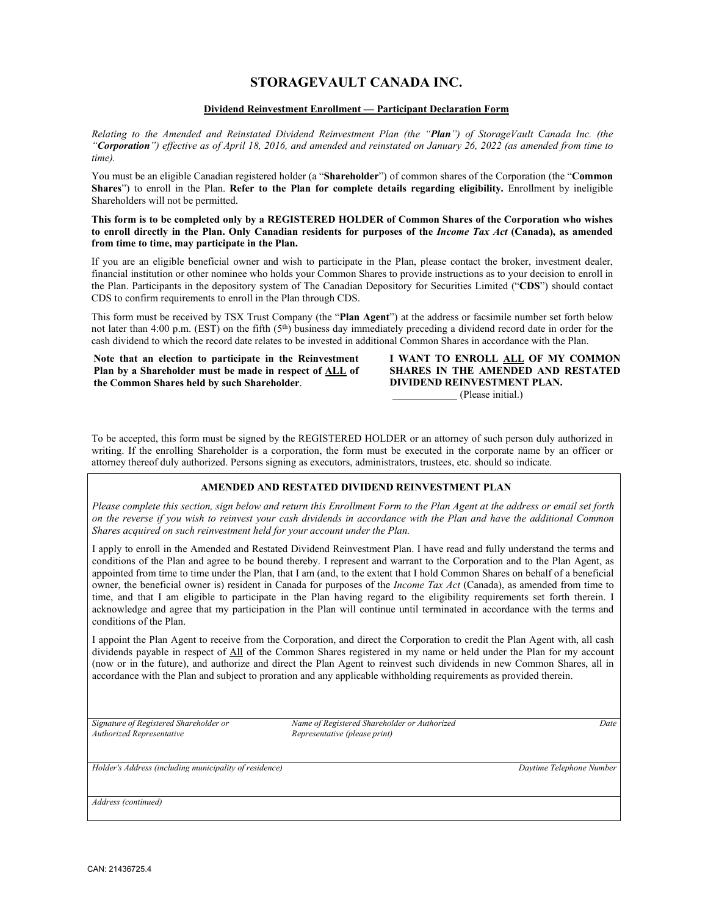# **STORAGEVAULT CANADA INC.**

### **Dividend Reinvestment Enrollment — Participant Declaration Form**

*Relating to the Amended and Reinstated Dividend Reinvestment Plan (the "Plan") of StorageVault Canada Inc. (the "Corporation") effective as of April 18, 2016, and amended and reinstated on January 26, 2022 (as amended from time to time).*

You must be an eligible Canadian registered holder (a "**Shareholder**") of common shares of the Corporation (the "**Common Shares**") to enroll in the Plan. **Refer to the Plan for complete details regarding eligibility.** Enrollment by ineligible Shareholders will not be permitted.

#### **This form is to be completed only by a REGISTERED HOLDER of Common Shares of the Corporation who wishes to enroll directly in the Plan. Only Canadian residents for purposes of the** *Income Tax Act* **(Canada), as amended from time to time, may participate in the Plan.**

If you are an eligible beneficial owner and wish to participate in the Plan, please contact the broker, investment dealer, financial institution or other nominee who holds your Common Shares to provide instructions as to your decision to enroll in the Plan. Participants in the depository system of The Canadian Depository for Securities Limited ("**CDS**") should contact CDS to confirm requirements to enroll in the Plan through CDS.

This form must be received by TSX Trust Company (the "**Plan Agent**") at the address or facsimile number set forth below not later than 4:00 p.m. (EST) on the fifth (5<sup>th</sup>) business day immediately preceding a dividend record date in order for the cash dividend to which the record date relates to be invested in additional Common Shares in accordance with the Plan.

**Note that an election to participate in the Reinvestment Plan by a Shareholder must be made in respect of ALL of the Common Shares held by such Shareholder**.

**I WANT TO ENROLL ALL OF MY COMMON SHARES IN THE AMENDED AND RESTATED DIVIDEND REINVESTMENT PLAN.** (Please initial.)

To be accepted, this form must be signed by the REGISTERED HOLDER or an attorney of such person duly authorized in writing. If the enrolling Shareholder is a corporation, the form must be executed in the corporate name by an officer or attorney thereof duly authorized. Persons signing as executors, administrators, trustees, etc. should so indicate.

## **AMENDED AND RESTATED DIVIDEND REINVESTMENT PLAN**

*Please complete this section, sign below and return this Enrollment Form to the Plan Agent at the address or email set forth on the reverse if you wish to reinvest your cash dividends in accordance with the Plan and have the additional Common Shares acquired on such reinvestment held for your account under the Plan.*

I apply to enroll in the Amended and Restated Dividend Reinvestment Plan. I have read and fully understand the terms and conditions of the Plan and agree to be bound thereby. I represent and warrant to the Corporation and to the Plan Agent, as appointed from time to time under the Plan, that I am (and, to the extent that I hold Common Shares on behalf of a beneficial owner, the beneficial owner is) resident in Canada for purposes of the *Income Tax Act* (Canada), as amended from time to time, and that I am eligible to participate in the Plan having regard to the eligibility requirements set forth therein. I acknowledge and agree that my participation in the Plan will continue until terminated in accordance with the terms and conditions of the Plan.

I appoint the Plan Agent to receive from the Corporation, and direct the Corporation to credit the Plan Agent with, all cash dividends payable in respect of All of the Common Shares registered in my name or held under the Plan for my account (now or in the future), and authorize and direct the Plan Agent to reinvest such dividends in new Common Shares, all in accordance with the Plan and subject to proration and any applicable withholding requirements as provided therein.

*Authorized Representative Representative (please print)*

*Signature of Registered Shareholder or Name of Registered Shareholder or Authorized Date*

*Holder's Address (including municipality of residence) Daytime Telephone Number*

*Address (continued)*